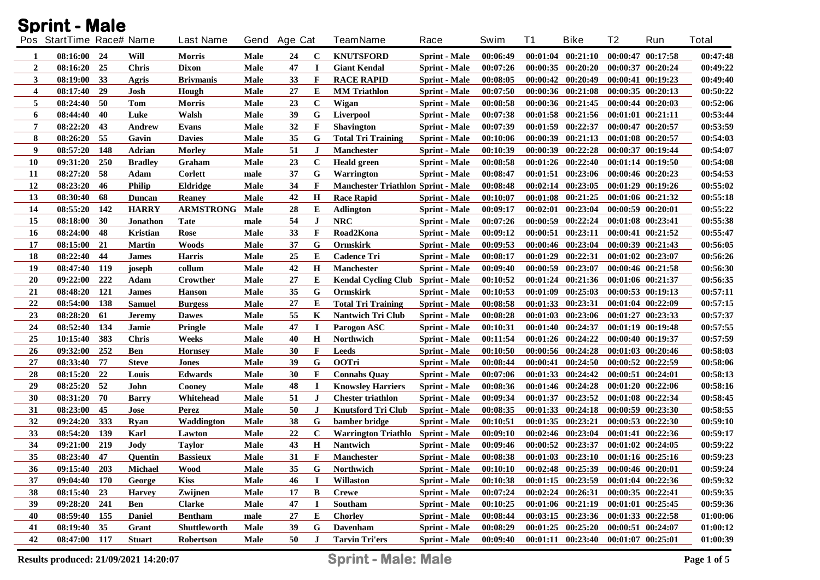| <b>Sprint - Male</b> |                          |     |                 |                       |             |              |              |                                           |                      |          |          |                       |    |                       |              |
|----------------------|--------------------------|-----|-----------------|-----------------------|-------------|--------------|--------------|-------------------------------------------|----------------------|----------|----------|-----------------------|----|-----------------------|--------------|
|                      | Pos StartTime Race# Name |     |                 | <b>Last Name</b>      |             | Gend Age Cat |              | <b>TeamName</b>                           | Race                 | Swim     | T1       | <b>Bike</b>           | T2 | Run                   | <b>Total</b> |
| -1                   | 08:16:00                 | 24  | Will            | <b>Morris</b>         | Male        | 24           | $\mathbf C$  | <b>KNUTSFORD</b>                          | <b>Sprint - Male</b> | 00:06:49 | 00:01:04 | 00:21:10              |    | 00:00:47 00:17:58     | 00:47:48     |
| $\overline{2}$       | 08:16:20                 | 25  | <b>Chris</b>    | <b>Dixon</b>          | Male        | 47           | I            | <b>Giant Kendal</b>                       | <b>Sprint - Male</b> | 00:07:26 | 00:00:35 | 00:20:20              |    | 00:00:37 00:20:24     | 00:49:22     |
| 3                    | 08:19:00                 | 33  | Agris           | <b>Brivmanis</b>      | Male        | 33           | $\mathbf{F}$ | <b>RACE RAPID</b>                         | <b>Sprint - Male</b> | 00:08:05 | 00:00:42 | 00:20:49              |    | 00:00:41 00:19:23     | 00:49:40     |
| 4                    | 08:17:40                 | 29  | Josh            | Hough                 | <b>Male</b> | 27           | E            | <b>MM Triathlon</b>                       | <b>Sprint - Male</b> | 00:07:50 | 00:00:36 | 00:21:08              |    | 00:00:35 00:20:13     | 00:50:22     |
| 5                    | 08:24:40                 | 50  | Tom             | <b>Morris</b>         | Male        | 23           | $\mathbf C$  | Wigan                                     | <b>Sprint - Male</b> | 00:08:58 | 00:00:36 | 00:21:45              |    | 00:00:44 00:20:03     | 00:52:06     |
| 6                    | 08:44:40                 | 40  | Luke            | Walsh                 | Male        | 39           | G            | Liverpool                                 | <b>Sprint</b> - Male | 00:07:38 | 00:01:58 | 00:21:56              |    | 00:01:01 00:21:11     | 00:53:44     |
| 7                    | 08:22:20                 | 43  | Andrew          | Evans                 | Male        | 32           | $\mathbf{F}$ | <b>Shavington</b>                         | <b>Sprint - Male</b> | 00:07:39 | 00:01:59 | 00:22:37              |    | 00:00:47 00:20:57     | 00:53:59     |
| 8                    | 08:26:20                 | 55  | Gavin           | <b>Davies</b>         | Male        | 35           | G            | <b>Total Tri Training</b>                 | <b>Sprint - Male</b> | 00:10:06 | 00:00:39 | 00:21:13              |    | 00:01:08 00:20:57     | 00:54:03     |
| 9                    | 08:57:20                 | 148 | Adrian          | <b>Morley</b>         | Male        | 51           | J            | Manchester                                | <b>Sprint - Male</b> | 00:10:39 | 00:00:39 | 00:22:28              |    | 00:00:37 00:19:44     | 00:54:07     |
| 10                   | 09:31:20                 | 250 | <b>Bradley</b>  | Graham                | Male        | 23           | $\mathbf C$  | <b>Heald green</b>                        | <b>Sprint</b> - Male | 00:08:58 | 00:01:26 | 00:22:40              |    | 00:01:14 00:19:50     | 00:54:08     |
| 11                   | 08:27:20                 | 58  | Adam            | <b>Corlett</b>        | male        | 37           | G            | Warrington                                | <b>Sprint - Male</b> | 00:08:47 | 00:01:51 | 00:23:06              |    | 00:00:46 00:20:23     | 00:54:53     |
| 12                   | 08:23:20                 | 46  | Philip          | Eldridge              | Male        | 34           | $\mathbf{F}$ | <b>Manchester Triathlon Sprint - Male</b> |                      | 00:08:48 | 00:02:14 | 00:23:05              |    | 00:01:29 00:19:26     | 00:55:02     |
| 13                   | 08:30:40                 | 68  | Duncan          | <b>Reaney</b>         | Male        | 42           | $\mathbf H$  | <b>Race Rapid</b>                         | <b>Sprint - Male</b> | 00:10:07 | 00:01:08 | 00:21:25              |    | 00:01:06 00:21:32     | 00:55:18     |
| 14                   | 08:55:20                 | 142 | <b>HARRY</b>    | <b>ARMSTRONG Male</b> |             | 28           | Е            | <b>Adlington</b>                          | <b>Sprint - Male</b> | 00:09:17 | 00:02:01 | 00:23:04              |    | 00:00:59 00:20:01     | 00:55:22     |
| 15                   | 08:18:00                 | 30  | <b>Jonathon</b> | <b>Tate</b>           | male        | 54           | J            | <b>NRC</b>                                | <b>Sprint - Male</b> | 00:07:26 | 00:00:59 | 00:22:24              |    | 00:01:08 00:23:41     | 00:55:38     |
| 16                   | 08:24:00                 | 48  | <b>Kristian</b> | Rose                  | Male        | 33           | $\mathbf{F}$ | Road2Kona                                 | <b>Sprint - Male</b> | 00:09:12 | 00:00:51 | 00:23:11              |    | $00:00:41$ $00:21:52$ | 00:55:47     |
| 17                   | 08:15:00                 | 21  | <b>Martin</b>   | Woods                 | Male        | 37           | G            | Ormskirk                                  | <b>Sprint - Male</b> | 00:09:53 |          | $00:00:46$ $00:23:04$ |    | 00:00:39 00:21:43     | 00:56:05     |
| 18                   | 08:22:40                 | 44  | <b>James</b>    | <b>Harris</b>         | Male        | 25           | Е            | <b>Cadence Tri</b>                        | <b>Sprint - Male</b> | 00:08:17 | 00:01:29 | 00:22:31              |    | $00:01:02$ $00:23:07$ | 00:56:26     |
| 19                   | 08:47:40                 | 119 | joseph          | collum                | Male        | 42           | H            | <b>Manchester</b>                         | <b>Sprint - Male</b> | 00:09:40 | 00:00:59 | 00:23:07              |    | 00:00:46 00:21:58     | 00:56:30     |
| 20                   | 09:22:00                 | 222 | Adam            | Crowther              | Male        | 27           | Е            | Kendal Cycling Club Sprint - Male         |                      | 00:10:52 |          | 00:01:24 00:21:36     |    | 00:01:06 00:21:37     | 00:56:35     |
| 21                   | 08:48:20                 | 121 | James           | <b>Hanson</b>         | Male        | 35           | G            | <b>Ormskirk</b>                           | <b>Sprint - Male</b> | 00:10:53 |          | $00:01:09$ $00:25:03$ |    | 00:00:53 00:19:13     | 00:57:11     |
| 22                   | 08:54:00                 | 138 | <b>Samuel</b>   | <b>Burgess</b>        | Male        | 27           | E            | <b>Total Tri Training</b>                 | <b>Sprint - Male</b> | 00:08:58 |          | $00:01:33$ $00:23:31$ |    | 00:01:04 00:22:09     | 00:57:15     |
| 23                   | 08:28:20                 | 61  | Jeremy          | <b>Dawes</b>          | Male        | 55           | K            | <b>Nantwich Tri Club</b>                  | <b>Sprint - Male</b> | 00:08:28 |          | $00:01:03$ $00:23:06$ |    | 00:01:27 00:23:33     | 00:57:37     |
| 24                   | 08:52:40                 | 134 | Jamie           | Pringle               | Male        | 47           | $\bf I$      | Parogon ASC                               | <b>Sprint - Male</b> | 00:10:31 |          | 00:01:40 00:24:37     |    | 00:01:19 00:19:48     | 00:57:55     |
| 25                   | 10:15:40                 | 383 | <b>Chris</b>    | Weeks                 | Male        | 40           | $\bf H$      | Northwich                                 | <b>Sprint - Male</b> | 00:11:54 |          | $00:01:26$ $00:24:22$ |    | 00:00:40 00:19:37     | 00:57:59     |
| 26                   | 09:32:00                 | 252 | Ben             | <b>Hornsey</b>        | Male        | 30           | $\mathbf{F}$ | Leeds                                     | <b>Sprint - Male</b> | 00:10:50 |          | 00:00:56 00:24:28     |    | 00:01:03 00:20:46     | 00:58:03     |
| 27                   | 08:33:40                 | 77  | <b>Steve</b>    | <b>Jones</b>          | Male        | 39           | G            | <b>OOTri</b>                              | <b>Sprint - Male</b> | 00:08:44 |          | $00:00:41$ $00:24:50$ |    | 00:00:52 00:22:59     | 00:58:06     |
| 28                   | 08:15:20                 | 22  | Louis           | <b>Edwards</b>        | Male        | 30           | $\mathbf{F}$ | <b>Connahs Quay</b>                       | <b>Sprint - Male</b> | 00:07:06 |          | $00:01:33$ $00:24:42$ |    | 00:00:51 00:24:01     | 00:58:13     |
| 29                   | 08:25:20                 | 52  | John            | Cooney                | Male        | 48           | $\bf{I}$     | <b>Knowsley Harriers</b>                  | <b>Sprint - Male</b> | 00:08:36 |          | $00:01:46$ $00:24:28$ |    | $00:01:20$ $00:22:06$ | 00:58:16     |
| 30                   | 08:31:20                 | 70  | <b>Barry</b>    | Whitehead             | Male        | 51           | J            | <b>Chester triathlon</b>                  | <b>Sprint - Male</b> | 00:09:34 |          | 00:01:37 00:23:52     |    | 00:01:08 00:22:34     | 00:58:45     |
| 31                   | 08:23:00                 | 45  | Jose            | Perez                 | Male        | 50           | J            | <b>Knutsford Tri Club</b>                 | <b>Sprint - Male</b> | 00:08:35 |          | 00:01:33 00:24:18     |    | 00:00:59 00:23:30     | 00:58:55     |
| 32                   | 09:24:20                 | 333 | <b>Ryan</b>     | Waddington            | Male        | 38           | G            | bamber bridge                             | <b>Sprint - Male</b> | 00:10:51 |          | 00:01:35 00:23:21     |    | 00:00:53 00:22:30     | 00:59:10     |
| 33                   | 08:54:20                 | 139 | Karl            | Lawton                | <b>Male</b> | 22           | $\mathbf C$  | Warrington Triathlo Sprint - Male         |                      | 00:09:10 |          | $00:02:46$ $00:23:04$ |    | 00:01:41 00:22:36     | 00:59:17     |
| 34                   | 09:21:00                 | 219 | <b>Jody</b>     | <b>Taylor</b>         | <b>Male</b> | 43           | $\mathbf H$  | <b>Nantwich</b>                           | <b>Sprint</b> - Male | 00:09:46 |          | 00:00:52 00:23:37     |    | $00:01:02$ $00:24:05$ | 00:59:22     |
| 35                   | 08:23:40 47              |     | Quentin         | <b>Bassieux</b>       | Male        | 31           | $\mathbf F$  | Manchester                                | <b>Sprint - Male</b> | 00:08:38 |          | $00:01:03$ $00:23:10$ |    | 00:01:16 00:25:16     | 00:59:23     |
| 36                   | 09:15:40                 | 203 | Michael         | <b>Wood</b>           | Male        | 35           | G            | Northwich                                 | <b>Sprint</b> - Male | 00:10:10 |          | 00:02:48 00:25:39     |    | 00:00:46 00:20:01     | 00:59:24     |
| 37                   | 09:04:40 170             |     | George          | Kiss                  | Male        | 46           |              | Willaston                                 | <b>Sprint - Male</b> | 00:10:38 |          | 00:01:15 00:23:59     |    | 00:01:04 00:22:36     | 00:59:32     |
| 38                   | 08:15:40 23              |     | <b>Harvey</b>   | Zwijnen               | Male        | 17           | B            | <b>Crewe</b>                              | <b>Sprint - Male</b> | 00:07:24 |          | $00:02:24$ $00:26:31$ |    | 00:00:35 00:22:41     | 00:59:35     |
| 39                   | 09:28:20                 | 241 | Ben             | <b>Clarke</b>         | Male        | 47           | $\bf{I}$     | Southam                                   | <b>Sprint - Male</b> | 00:10:25 |          | $00:01:06$ $00:21:19$ |    | 00:01:01 00:25:45     | 00:59:36     |
| 40                   | 08:59:40                 | 155 | <b>Daniel</b>   | <b>Bentham</b>        | male        | 27           | E            | <b>Chorley</b>                            | Sprint - Male        | 00:08:44 |          | $00:03:15$ $00:23:36$ |    | 00:01:33 00:22:58     | 01:00:06     |
| 41                   | 08:19:40 35              |     | Grant           | Shuttleworth          | Male        | 39           | G            | <b>Davenham</b>                           | <b>Sprint - Male</b> | 00:08:29 |          | $00:01:25$ $00:25:20$ |    | 00:00:51 00:24:07     | 01:00:12     |
| 42                   | 08:47:00 117             |     | <b>Stuart</b>   | Robertson             | Male        | 50           | $\bf J$      | <b>Tarvin Tri'ers</b>                     | <b>Sprint - Male</b> | 00:09:40 |          | $00:01:11$ $00:23:40$ |    | $00:01:07$ $00:25:01$ | 01:00:39     |

**Results produced: 21/09/2021 14:20:07 Sprint - Male: Male Page 1 of 5 Page 1 of 5**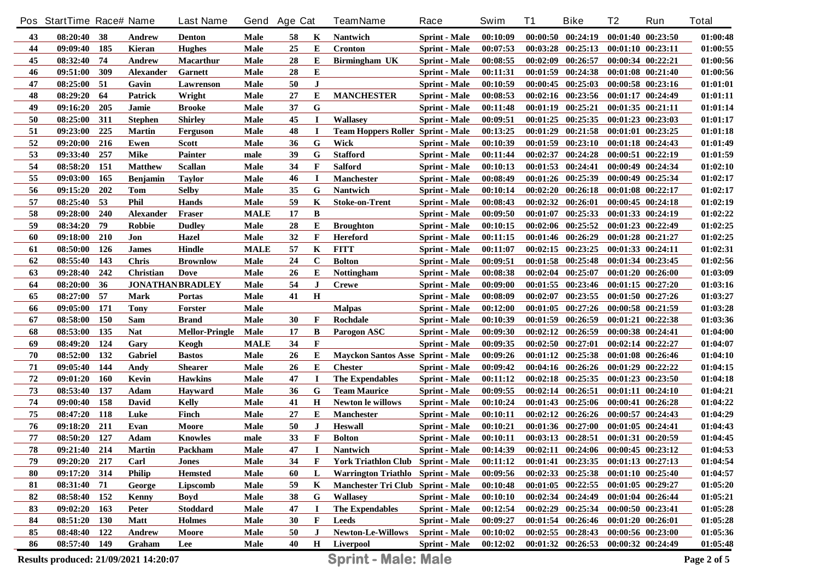|          | Pos StartTime Race# Name              |            |                  | <b>Last Name</b>       |              | Gend Age Cat |                   | <b>TeamName</b>                          | Race                                         | <b>Swim</b>          | <b>T1</b> | <b>Bike</b>                                 | T <sub>2</sub>        | Run                                    | <b>Total</b>         |
|----------|---------------------------------------|------------|------------------|------------------------|--------------|--------------|-------------------|------------------------------------------|----------------------------------------------|----------------------|-----------|---------------------------------------------|-----------------------|----------------------------------------|----------------------|
| 43       | 08:20:40                              | -38        | Andrew           | Denton                 | <b>Male</b>  | 58           | K                 | <b>Nantwich</b>                          | <b>Sprint - Male</b>                         | 00:10:09             |           | $00:00:50$ $00:24:19$                       |                       | 00:01:40 00:23:50                      | 01:00:48             |
| 44       | 09:09:40                              | 185        | Kieran           | <b>Hughes</b>          | <b>Male</b>  | 25           | Е                 | <b>Cronton</b>                           | <b>Sprint - Male</b>                         | 00:07:53             |           | $00:03:28$ $00:25:13$                       | 00:01:10 00:23:11     |                                        | 01:00:55             |
| 45       | 08:32:40                              | 74         | <b>Andrew</b>    | <b>Macarthur</b>       | Male         | 28           | E                 | Birmingham UK                            | <b>Sprint - Male</b>                         | 00:08:55             | 00:02:09  | 00:26:57                                    | 00:00:34 00:22:21     |                                        | 01:00:56             |
| 46       | 09:51:00                              | 309        | <b>Alexander</b> | <b>Garnett</b>         | <b>Male</b>  | 28           | E                 |                                          | <b>Sprint - Male</b>                         | 00:11:31             | 00:01:59  | 00:24:38                                    |                       | 00:01:08 00:21:40                      | 01:00:56             |
| 47       | 08:25:00                              | 51         | Gavin            | Lawrenson              | <b>Male</b>  | 50           | $\bf J$           |                                          | <b>Sprint - Male</b>                         | 00:10:59             |           | $00:00:45$ $00:25:03$                       |                       | 00:00:58 00:23:16                      | 01:01:01             |
| 48       | 08:29:20                              | 64         | <b>Patrick</b>   | Wright                 | <b>Male</b>  | 27           | E                 | <b>MANCHESTER</b>                        | <b>Sprint - Male</b>                         | 00:08:53             |           | $00:02:16$ $00:23:56$                       |                       | 00:01:17 00:24:49                      | 01:01:11             |
| 49       | 09:16:20                              | 205        | Jamie            | <b>Brooke</b>          | <b>Male</b>  | 37           | G                 |                                          | <b>Sprint - Male</b>                         | 00:11:48             |           | $00:01:19$ $00:25:21$                       |                       | 00:01:35 00:21:11                      | 01:01:14             |
| 50       | 08:25:00                              | 311        | <b>Stephen</b>   | <b>Shirley</b>         | <b>Male</b>  | 45           | $\bf{I}$          | <b>Wallasev</b>                          | <b>Sprint - Male</b>                         | 00:09:51             |           | 00:01:25 00:25:35                           |                       | 00:01:23 00:23:03                      | 01:01:17             |
| 51       | 09:23:00                              | 225        | <b>Martin</b>    | Ferguson               | Male         | 48           | $\bf I$           | <b>Team Hoppers Roller Sprint - Male</b> |                                              | 00:13:25             |           | $00:01:29$ $00:21:58$                       |                       | 00:01:01 00:23:25                      | 01:01:18             |
| 52       | 09:20:00                              | 216        | Ewen             | <b>Scott</b>           | Male         | 36           | G                 | Wick                                     | <b>Sprint - Male</b>                         | 00:10:39             |           | $00:01:59$ $00:23:10$                       |                       | 00:01:18 00:24:43                      | 01:01:49             |
| 53       | 09:33:40                              | 257        | <b>Mike</b>      | <b>Painter</b>         | male         | 39           | G                 | <b>Stafford</b>                          | <b>Sprint - Male</b>                         | 00:11:44             |           | 00:02:37 00:24:28                           |                       | 00:00:51 00:22:19                      | 01:01:59             |
| 54       | 08:58:20                              | 151        | <b>Matthew</b>   | <b>Scallan</b>         | Male         | 34           | $\mathbf{F}$      | <b>Salford</b>                           | <b>Sprint - Male</b>                         | 00:10:13             |           | 00:01:53 00:24:41                           |                       | 00:00:49 00:24:34                      | 01:02:10             |
| 55       | 09:03:00                              | 165        | Benjamin         | <b>Taylor</b>          | Male         | 46           | $\bf{I}$          | <b>Manchester</b>                        | <b>Sprint - Male</b>                         | 00:08:49             |           | 00:01:26 00:25:39                           |                       | 00:00:49 00:25:34                      | 01:02:17             |
| 56       | 09:15:20                              | 202        | Tom              | <b>Selby</b>           | Male         | 35           | G                 | <b>Nantwich</b>                          | <b>Sprint - Male</b>                         | 00:10:14             |           | 00:02:20 00:26:18                           |                       | $00:01:08$ $00:22:17$                  | 01:02:17             |
| 57       | 08:25:40                              | 53         | <b>Phil</b>      | <b>Hands</b>           | Male         | 59           | K                 | <b>Stoke-on-Trent</b>                    | <b>Sprint - Male</b>                         | 00:08:43             | 00:02:32  | 00:26:01                                    |                       | 00:00:45 00:24:18                      | 01:02:19             |
| 58       | 09:28:00                              | 240        | Alexander        | Fraser                 | <b>MALE</b>  | 17           | B                 |                                          | <b>Sprint - Male</b>                         | 00:09:50             | 00:01:07  | 00:25:33                                    |                       | 00:01:33 00:24:19                      | 01:02:22             |
| 59       | 08:34:20                              | 79         | <b>Robbie</b>    | <b>Dudley</b>          | Male         | 28           | Е                 | <b>Broughton</b>                         | <b>Sprint - Male</b>                         | 00:10:15             |           | 00:02:06 00:25:52                           |                       | 00:01:23 00:22:49                      | 01:02:25             |
| 60       | 09:18:00                              | 210        | Jon              | Hazel                  | Male         | 32           | $\mathbf{F}$      | <b>Hereford</b>                          | <b>Sprint - Male</b>                         | 00:11:15             |           | 00:01:46 00:26:29                           |                       | 00:01:28 00:21:27                      | 01:02:25             |
| 61       | 08:50:00                              | <b>126</b> | James            | Hindle                 | <b>MALE</b>  | 57           | K                 | <b>FITT</b>                              | <b>Sprint - Male</b>                         | 00:11:07             |           | $00:02:15$ $00:23:25$                       |                       | 00:01:33 00:24:11                      | 01:02:31             |
| 62       | 08:55:40                              | 143        | <b>Chris</b>     | <b>Brownlow</b>        | Male         | 24           | $\mathbf C$       | <b>Bolton</b>                            | <b>Sprint - Male</b>                         | 00:09:51             |           | $00:01:58$ $00:25:48$                       |                       | 00:01:34 00:23:45                      | 01:02:56             |
| 63       | 09:28:40                              | 242        | Christian        | Dove                   | Male         | 26           | Е                 | <b>Nottingham</b>                        | <b>Sprint - Male</b>                         | 00:08:38             | 00:02:04  | 00:25:07                                    |                       | 00:01:20 00:26:00                      | 01:03:09             |
| 64       | 08:20:00                              | 36         |                  | <b>JONATHANBRADLEY</b> | Male         | 54           | J                 | <b>Crewe</b>                             | <b>Sprint - Male</b>                         | 00:09:00             |           | $00:01:55$ $00:23:46$                       |                       | $00:01:15$ $00:27:20$                  | 01:03:16             |
| 65       | 08:27:00                              | 57         | Mark             | <b>Portas</b>          | Male         | 41           | $\mathbf H$       |                                          | <b>Sprint - Male</b>                         | 00:08:09             | 00:02:07  | 00:23:55                                    |                       | 00:01:50 00:27:26                      | 01:03:27             |
| 66       | 09:05:00                              | 171        | <b>Tony</b>      | Forster                | Male         |              |                   | <b>Malpas</b>                            | <b>Sprint - Male</b>                         | 00:12:00             |           | 00:01:05 00:27:26                           |                       | 00:00:58 00:21:59                      | 01:03:28             |
| 67       | 08:58:00                              | <b>150</b> | Sam              | <b>Brand</b>           | <b>Male</b>  | 30           | $\mathbf{F}$      | Rochdale                                 | <b>Sprint - Male</b>                         | 00:10:39             |           | 00:01:59 00:26:59                           |                       | 00:01:21 00:22:38                      | 01:03:36             |
| 68       | 08:53:00                              | 135        | <b>Nat</b>       | <b>Mellor-Pringle</b>  | Male         | 17           | B                 | Parogon ASC                              | <b>Sprint - Male</b>                         | 00:09:30             |           | 00:02:12 00:26:59                           |                       | 00:00:38 00:24:41                      | 01:04:00             |
| 69       | 08:49:20                              | 124        | Gary             | Keogh                  | <b>MALE</b>  | 34           | $\mathbf F$       |                                          | <b>Sprint - Male</b>                         | 00:09:35             |           | $00:02:50$ $00:27:01$                       |                       | 00:02:14 00:22:27                      | 01:04:07             |
| 70       | 08:52:00                              | 132        | Gabriel          | <b>Bastos</b>          | <b>Male</b>  | 26           | Е                 | <b>Mayckon Santos Asse Sprint - Male</b> |                                              | 00:09:26             |           | $00:01:12$ $00:25:38$                       |                       | 00:01:08 00:26:46                      | 01:04:10             |
| 71       | 09:05:40                              | 144        | Andy             | <b>Shearer</b>         | <b>Male</b>  | 26           | Е                 | <b>Chester</b>                           | <b>Sprint - Male</b>                         | 00:09:42             |           | 00:04:16 00:26:26                           |                       | $00:01:29$ $00:22:22$                  | 01:04:15             |
| 72       | 09:01:20                              | <b>160</b> | Kevin            | <b>Hawkins</b>         | Male         | 47           | $\bf{I}$          | <b>The Expendables</b>                   | <b>Sprint - Male</b>                         | 00:11:12             |           | $00:02:18$ $00:25:35$                       |                       | 00:01:23 00:23:50                      | 01:04:18             |
| 73       | 08:53:40                              | 137        | Adam             | <b>Hayward</b>         | <b>Male</b>  | 36           | G                 | <b>Team Maurice</b>                      | <b>Sprint - Male</b>                         | 00:09:55             | 00:02:14  | 00:26:51                                    |                       | 00:01:11 00:24:10                      | 01:04:21             |
| 74       | 09:00:40                              | 158        | David            | Kelly                  | <b>Male</b>  | 41           | $\mathbf H$       | <b>Newton le willows</b>                 | <b>Sprint - Male</b>                         | 00:10:24             |           | 00:01:43 00:25:06<br>$00:02:12$ $00:26:26$  |                       | 00:00:41 00:26:28                      | 01:04:22             |
| 75       | 08:47:20                              | 118        | Luke             | Finch<br>Moore         | Male         | 27<br>50     | Е                 | Manchester<br><b>Heswall</b>             | <b>Sprint - Male</b>                         | 00:10:11             |           | 00:01:36 00:27:00                           |                       | 00:00:57 00:24:43<br>00:01:05 00:24:41 | 01:04:29             |
| 76<br>77 | 09:18:20<br>08:50:20                  | 211<br>127 | Evan<br>Adam     |                        | Male         | 33           | J<br>$\mathbf{F}$ | <b>Bolton</b>                            | <b>Sprint - Male</b>                         | 00:10:21<br>00:10:11 |           | $00:03:13$ $00:28:51$                       | 00:01:31 00:20:59     |                                        | 01:04:43<br>01:04:45 |
| 78       | 09:21:40 214                          |            | <b>Martin</b>    | <b>Knowles</b>         | male         | 47           | $\mathbf{I}$      | Nantwich                                 | <b>Sprint - Male</b><br><b>Sprint - Male</b> | 00:14:39             |           | $00:02:11$ $00:24:06$ $00:00:45$ $00:23:12$ |                       |                                        | 01:04:53             |
| 79       | $09:20:20$ 217                        |            | Carl             | Packham<br>Jones       | Male<br>Male | 34           | F                 | <b>York Triathlon Club Sprint - Male</b> |                                              | 00:11:12             |           | $00:01:41$ $00:23:35$ $00:01:13$ $00:27:13$ |                       |                                        | 01:04:54             |
| 80       | 09:17:20 314                          |            | <b>Philip</b>    | <b>Hemsted</b>         | Male         | 60           | L                 | Warrington Triathlo Sprint - Male        |                                              | 00:09:56             |           | $00:02:33$ $00:25:38$                       | $00:01:10$ $00:25:40$ |                                        | 01:04:57             |
| 81       | 08:31:40 71                           |            | George           | Lipscomb               | Male         | 59           | K                 | Manchester Tri Club Sprint - Male        |                                              | 00:10:48             |           | $00:01:05$ $00:22:55$                       | $00:01:05$ $00:29:27$ |                                        | 01:05:20             |
| 82       | 08:58:40 152                          |            | Kenny            | <b>Boyd</b>            | Male         | 38           | G                 | <b>Wallasey</b>                          | <b>Sprint - Male</b>                         | 00:10:10             |           | $00:02:34$ $00:24:49$                       | 00:01:04 00:26:44     |                                        | 01:05:21             |
| 83       | $09:02:20$ 163                        |            | <b>Peter</b>     | <b>Stoddard</b>        | Male         | 47           | -1                | <b>The Expendables</b>                   | Sprint - Male                                | 00:12:54             |           | $00:02:29$ $00:25:34$                       | 00:00:50 00:23:41     |                                        | 01:05:28             |
| 84       | 08:51:20 130                          |            | Matt             | <b>Holmes</b>          | Male         | 30           | F                 | Leeds                                    | Sprint - Male                                | 00:09:27             |           | $00:01:54$ $00:26:46$                       | $00:01:20$ $00:26:01$ |                                        | 01:05:28             |
| 85       | 08:48:40 122                          |            | Andrew           | Moore                  | Male         | 50           | J                 | <b>Newton-Le-Willows</b>                 | <b>Sprint - Male</b>                         | 00:10:02             |           | $00:02:55$ $00:28:43$                       | 00:00:56 00:23:00     |                                        | 01:05:36             |
| 86       | 08:57:40 149                          |            | Graham           | Lee                    | Male         | 40           |                   | H Liverpool                              | <b>Sprint - Male</b>                         | 00:12:02             |           | $00:01:32$ $00:26:53$                       | 00:00:32 00:24:49     |                                        | 01:05:48             |
|          |                                       |            |                  |                        |              |              |                   | <b>Sprint - Male: Male</b>               |                                              |                      |           |                                             |                       |                                        |                      |
|          | Results produced: 21/09/2021 14:20:07 |            |                  |                        |              |              |                   |                                          |                                              |                      |           |                                             |                       |                                        | Page 2 of 5          |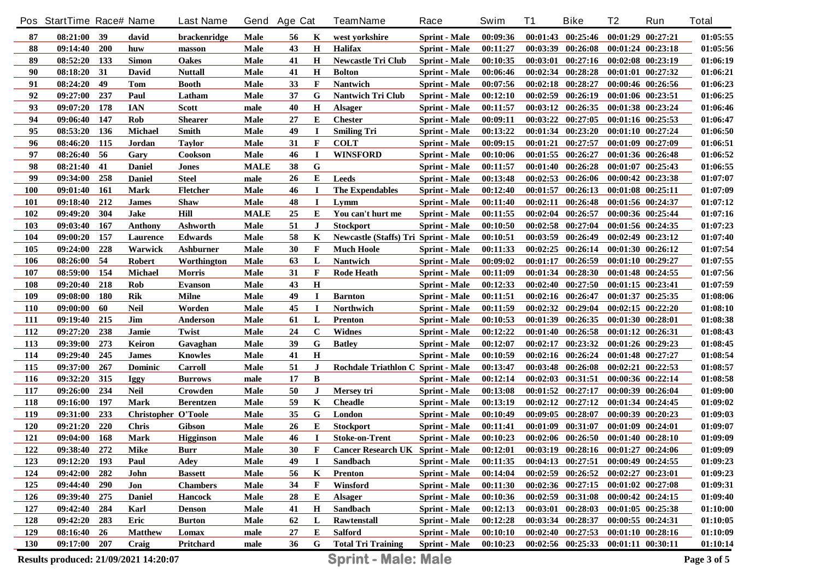|            | Pos StartTime Race# Name              |            |                            | <b>Last Name</b> |             | Gend Age Cat |              | <b>TeamName</b>                             | Race                 | Swim     | <b>T1</b> | <b>Bike</b>                                 | T <sub>2</sub>        | Run                   | <b>Total</b> |
|------------|---------------------------------------|------------|----------------------------|------------------|-------------|--------------|--------------|---------------------------------------------|----------------------|----------|-----------|---------------------------------------------|-----------------------|-----------------------|--------------|
| 87         | 08:21:00                              | 39         | david                      | brackenridge     | Male        | 56           | К            | west vorkshire                              | <b>Sprint - Male</b> | 00:09:36 |           | $00:01:43$ $00:25:46$                       | $00:01:29$ $00:27:21$ |                       | 01:05:55     |
| 88         | 09:14:40                              | <b>200</b> | huw                        | masson           | <b>Male</b> | 43           | $\mathbf H$  | <b>Halifax</b>                              | <b>Sprint</b> - Male | 00:11:27 | 00:03:39  | 00:26:08                                    | 00:01:24 00:23:18     |                       | 01:05:56     |
| 89         | 08:52:20                              | 133        | <b>Simon</b>               | <b>Oakes</b>     | <b>Male</b> | 41           | $\mathbf H$  | <b>Newcastle Tri Club</b>                   | <b>Sprint - Male</b> | 00:10:35 | 00:03:01  | 00:27:16                                    | 00:02:08 00:23:19     |                       | 01:06:19     |
| 90         | 08:18:20                              | 31         | David                      | <b>Nuttall</b>   | <b>Male</b> | 41           | $\mathbf H$  | <b>Bolton</b>                               | <b>Sprint - Male</b> | 00:06:46 | 00:02:34  | 00:28:28                                    | $00:01:01$ $00:27:32$ |                       | 01:06:21     |
| 91         | 08:24:20                              | 49         | Tom                        | Booth            | <b>Male</b> | 33           | F            | <b>Nantwich</b>                             | <b>Sprint - Male</b> | 00:07:56 |           | 00:02:18 00:28:27                           |                       | 00:00:46 00:26:56     | 01:06:23     |
| 92         | 09:27:00                              | 237        | Paul                       | Latham           | <b>Male</b> | 37           | G            | <b>Nantwich Tri Club</b>                    | <b>Sprint - Male</b> | 00:12:10 | 00:02:59  | 00:26:19                                    |                       | 00:01:06 00:23:51     | 01:06:25     |
| 93         | 09:07:20                              | 178        | <b>IAN</b>                 | Scott            | male        | 40           | $\mathbf H$  | <b>Alsager</b>                              | <b>Sprint - Male</b> | 00:11:57 | 00:03:12  | 00:26:35                                    | 00:01:38 00:23:24     |                       | 01:06:46     |
| 94         | 09:06:40                              | 147        | <b>Rob</b>                 | <b>Shearer</b>   | Male        | 27           | Е            | <b>Chester</b>                              | <b>Sprint - Male</b> | 00:09:11 | 00:03:22  | 00:27:05                                    |                       | 00:01:16 00:25:53     | 01:06:47     |
| 95         | 08:53:20                              | 136        | <b>Michael</b>             | <b>Smith</b>     | Male        | 49           | $\bf{I}$     | <b>Smiling Tri</b>                          | <b>Sprint - Male</b> | 00:13:22 | 00:01:34  | 00:23:20                                    |                       | 00:01:10 00:27:24     | 01:06:50     |
| 96         | 08:46:20                              | 115        | Jordan                     | <b>Taylor</b>    | Male        | 31           | $\mathbf{F}$ | <b>COLT</b>                                 | <b>Sprint - Male</b> | 00:09:15 | 00:01:21  | 00:27:57                                    |                       | 00:01:09 00:27:09     | 01:06:51     |
| 97         | 08:26:40                              | 56         | Gary                       | Cookson          | Male        | 46           | $\bf{I}$     | <b>WINSFORD</b>                             | <b>Sprint - Male</b> | 00:10:06 |           | 00:01:55 00:26:27                           |                       | 00:01:36 00:26:48     | 01:06:52     |
| 98         | 08:21:40                              | 41         | <b>Daniel</b>              | Jones            | <b>MALE</b> | 38           | G            |                                             | <b>Sprint - Male</b> | 00:11:57 | 00:01:40  | 00:26:28                                    |                       | $00:01:07$ $00:25:43$ | 01:06:55     |
| 99         | 09:34:00                              | 258        | <b>Daniel</b>              | <b>Steel</b>     | male        | 26           | E            | Leeds                                       | <b>Sprint - Male</b> | 00:13:48 | 00:02:53  | 00:26:06                                    |                       | 00:00:42 00:23:38     | 01:07:07     |
| 100        | 09:01:40                              | -161       | Mark                       | <b>Fletcher</b>  | Male        | 46           | $\bf{I}$     | <b>The Expendables</b>                      | <b>Sprint - Male</b> | 00:12:40 | 00:01:57  | 00:26:13                                    |                       | 00:01:08 00:25:11     | 01:07:09     |
| 101        | 09:18:40                              | 212        | James                      | <b>Shaw</b>      | Male        | 48           | I            | Lymm                                        | <b>Sprint - Male</b> | 00:11:40 | 00:02:11  | 00:26:48                                    |                       | 00:01:56 00:24:37     | 01:07:12     |
| 102        | 09:49:20                              | 304        | Jake                       | Hill             | <b>MALE</b> | 25           | Е            | You can't hurt me                           | <b>Sprint - Male</b> | 00:11:55 | 00:02:04  | 00:26:57                                    |                       | 00:00:36 00:25:44     | 01:07:16     |
| 103        | 09:03:40                              | -167       | Anthony                    | Ashworth         | Male        | 51           | J            | <b>Stockport</b>                            | <b>Sprint - Male</b> | 00:10:50 | 00:02:58  | 00:27:04                                    |                       | 00:01:56 00:24:35     | 01:07:23     |
| 104        | 09:00:20                              | 157        | <b>Laurence</b>            | Edwards          | Male        | 58           | K            | <b>Newcastle (Staffs) Tri Sprint - Male</b> |                      | 00:10:51 | 00:03:59  | 00:26:49                                    |                       | $00:02:49$ $00:23:12$ | 01:07:40     |
| 105        | 09:24:00                              | 228        | Warwick                    | Ashburner        | Male        | 30           | F            | <b>Much Hoole</b>                           | <b>Sprint - Male</b> | 00:11:33 | 00:02:25  | 00:26:14                                    |                       | 00:01:30 00:26:12     | 01:07:54     |
| 106        | 08:26:00                              | 54         | <b>Robert</b>              | Worthington      | Male        | 63           | L            | <b>Nantwich</b>                             | <b>Sprint - Male</b> | 00:09:02 | 00:01:17  | 00:26:59                                    |                       | 00:01:10 00:29:27     | 01:07:55     |
| 107        | 08:59:00                              | 154        | <b>Michael</b>             | <b>Morris</b>    | Male        | 31           | $\mathbf F$  | <b>Rode Heath</b>                           | <b>Sprint - Male</b> | 00:11:09 | 00:01:34  | 00:28:30                                    |                       | 00:01:48 00:24:55     | 01:07:56     |
| 108        | 09:20:40                              | 218        | <b>Rob</b>                 | <b>Evanson</b>   | Male        | 43           | $\mathbf H$  |                                             | <b>Sprint - Male</b> | 00:12:33 |           | $00:02:40$ $00:27:50$                       |                       | 00:01:15 00:23:41     | 01:07:59     |
| 109        | 09:08:00                              | <b>180</b> | <b>Rik</b>                 | <b>Milne</b>     | Male        | 49           | I            | <b>Barnton</b>                              | <b>Sprint - Male</b> | 00:11:51 |           | 00:02:16 00:26:47                           |                       | 00:01:37 00:25:35     | 01:08:06     |
| 110        | 09:00:00                              | 60         | <b>Neil</b>                | Worden           | Male        | 45           | $\bf I$      | <b>Northwich</b>                            | <b>Sprint - Male</b> | 00:11:59 | 00:02:32  | 00:29:04                                    |                       | 00:02:15 00:22:20     | 01:08:10     |
| <b>111</b> | 09:19:40                              | 215        | Jim                        | Anderson         | Male        | 61           | L            | Prenton                                     | <b>Sprint - Male</b> | 00:10:53 | 00:01:39  | 00:26:35                                    |                       | 00:01:30 00:28:01     | 01:08:38     |
| 112        | 09:27:20                              | 238        | Jamie                      | Twist            | Male        | 24           | $\mathbf C$  | <b>Widnes</b>                               | <b>Sprint - Male</b> | 00:12:22 | 00:01:40  | 00:26:58                                    |                       | 00:01:12 00:26:31     | 01:08:43     |
| 113        | 09:39:00                              | 273        | Keiron                     | Gavaghan         | Male        | 39           | G            | <b>Batley</b>                               | <b>Sprint - Male</b> | 00:12:07 | 00:02:17  | 00:23:32                                    |                       | 00:01:26 00:29:23     | 01:08:45     |
| 114        | 09:29:40                              | 245        | <b>James</b>               | <b>Knowles</b>   | Male        | 41           | $\mathbf H$  |                                             | <b>Sprint - Male</b> | 00:10:59 | 00:02:16  | 00:26:24                                    |                       | 00:01:48 00:27:27     | 01:08:54     |
| 115        | 09:37:00                              | 267        | <b>Dominic</b>             | <b>Carroll</b>   | Male        | 51           | J            | Rochdale Triathlon C Sprint - Male          |                      | 00:13:47 | 00:03:48  | 00:26:08                                    |                       | $00:02:21$ $00:22:53$ | 01:08:57     |
| 116        | 09:32:20                              | 315        | <b>Iggy</b>                | <b>Burrows</b>   | male        | 17           | B            |                                             | <b>Sprint - Male</b> | 00:12:14 | 00:02:03  | 00:31:51                                    |                       | 00:00:36 00:22:14     | 01:08:58     |
| 117        | 09:26:00                              | 234        | <b>Neil</b>                | Crowden          | Male        | 50           | J            | Mersey tri                                  | <b>Sprint - Male</b> | 00:13:08 | 00:01:52  | 00:27:17                                    |                       | 00:00:39 00:26:04     | 01:09:00     |
| 118        | 09:16:00                              | 197        | <b>Mark</b>                | <b>Berentzen</b> | <b>Male</b> | 59           | K            | <b>Cheadle</b>                              | <b>Sprint</b> - Male | 00:13:19 | 00:02:12  | 00:27:12                                    |                       | 00:01:34 00:24:45     | 01:09:02     |
| 119        | 09:31:00                              | 233        | <b>Christopher O'Toole</b> |                  | <b>Male</b> | 35           | G            | London                                      | <b>Sprint - Male</b> | 00:10:49 | 00:09:05  | 00:28:07                                    |                       | 00:00:39 00:20:23     | 01:09:03     |
| <b>120</b> | 09:21:20                              | 220        | <b>Chris</b>               | Gibson           | <b>Male</b> | 26           | E            | <b>Stockport</b>                            | <b>Sprint</b> - Male | 00:11:41 | 00:01:09  | 00:31:07                                    | 00:01:09              | 00:24:01              | 01:09:07     |
| 121        | 09:04:00                              | 168        | <b>Mark</b>                | <b>Higginson</b> | Male        | 46           | $\bf{I}$     | <b>Stoke-on-Trent</b>                       | <b>Sprint - Male</b> | 00:10:23 |           | $00:02:06$ $00:26:50$                       | $00:01:40$ $00:28:10$ |                       | 01:09:09     |
| 122        | 09:38:40 272                          |            | Mike                       | <b>Burr</b>      | Male        | 30           | F            | <b>Cancer Research UK Sprint - Male</b>     |                      | 00:12:01 |           | 00:03:19 00:28:16 00:01:27 00:24:06         |                       |                       | 01:09:09     |
| 123        | $09:12:20$ 193                        |            | Paul                       | Adey             | Male        | 49           | I            | Sandbach                                    | Sprint - Male        | 00:11:35 |           | $00:04:13$ $00:27:51$ $00:00:49$ $00:24:55$ |                       |                       | 01:09:23     |
| 124        | 09:42:00                              | 282        | John                       | <b>Bassett</b>   | <b>Male</b> | 56           | K            | <b>Prenton</b>                              | <b>Sprint - Male</b> | 00:14:04 |           | $00:02:59$ $00:26:52$                       | $00:02:27$ $00:23:01$ |                       | 01:09:23     |
| 125        | $09:44:40$ 290                        |            | Jon                        | <b>Chambers</b>  | Male        | 34           | F            | Winsford                                    | Sprint - Male        | 00:11:30 |           | $00:02:36$ $00:27:15$                       | $00:01:02$ $00:27:08$ |                       | 01:09:31     |
| 126        | 09:39:40 275                          |            | <b>Daniel</b>              | <b>Hancock</b>   | Male        | 28           | E            | <b>Alsager</b>                              | <b>Sprint - Male</b> | 00:10:36 |           | $00:02:59$ $00:31:08$                       | $00:00:42$ $00:24:15$ |                       | 01:09:40     |
| 127        | 09:42:40 284                          |            | Karl                       | <b>Denson</b>    | <b>Male</b> | 41           | $\mathbf H$  | Sandbach                                    | Sprint - Male        | 00:12:13 |           | $00:03:01$ $00:28:03$                       | 00:01:05 00:25:38     |                       | 01:10:00     |
| 128        | 09:42:20 283                          |            | Eric                       | <b>Burton</b>    | Male        | 62           | L            | Rawtenstall                                 | Sprint - Male        | 00:12:28 |           | 00:03:34 00:28:37                           | $00:00:55$ $00:24:31$ |                       | 01:10:05     |
| 129        | 08:16:40 26                           |            | <b>Matthew</b>             | Lomax            | male        | 27           | Е            | <b>Salford</b>                              | Sprint - Male        | 00:10:10 |           | $00:02:40$ $00:27:53$                       | 00:01:10 00:28:16     |                       | 01:10:09     |
| <b>130</b> | 09:17:00 207                          |            | Craig                      | Pritchard        | male        | 36           | G            | <b>Total Tri Training</b>                   | <b>Sprint - Male</b> | 00:10:23 |           | 00:02:56 00:25:33 00:01:11 00:30:11         |                       |                       | 01:10:14     |
|            | Results produced: 21/09/2021 14:20:07 |            |                            |                  |             |              |              | <b>Sprint - Male: Male</b>                  |                      |          |           |                                             |                       |                       | Page 3 of 5  |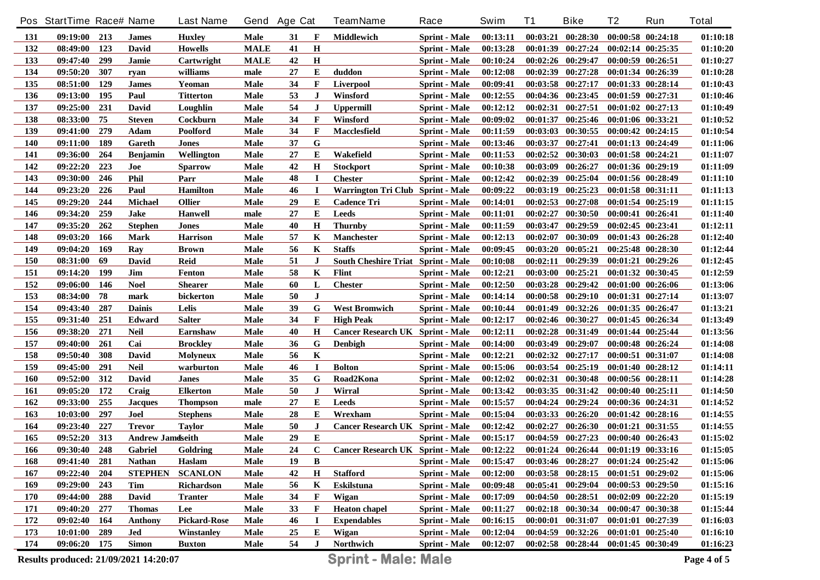|            | Pos StartTime Race# Name              |       |                         | <b>Last Name</b>    |             | Gend Age Cat |              | <b>TeamName</b>                           | Race                 | Swim     | <b>T1</b> | <b>Bike</b>                         | T2                    | Run                   | <b>Total</b> |
|------------|---------------------------------------|-------|-------------------------|---------------------|-------------|--------------|--------------|-------------------------------------------|----------------------|----------|-----------|-------------------------------------|-----------------------|-----------------------|--------------|
| 131        | 09:19:00                              | 213   | James                   | <b>Huxley</b>       | <b>Male</b> | 31           | F            | Middlewich                                | <b>Sprint - Male</b> | 00:13:11 |           | $00:03:21$ $00:28:30$               |                       | 00:00:58 00:24:18     | 01:10:18     |
| 132        | 08:49:00                              | 123   | David                   | <b>Howells</b>      | <b>MALE</b> | 41           | $\mathbf H$  |                                           | <b>Sprint - Male</b> | 00:13:28 |           | 00:01:39 00:27:24                   |                       | 00:02:14 00:25:35     | 01:10:20     |
| 133        | 09:47:40                              | 299   | Jamie                   | Cartwright          | <b>MALE</b> | 42           | $\mathbf H$  |                                           | <b>Sprint - Male</b> | 00:10:24 |           | 00:02:26 00:29:47                   |                       | 00:00:59 00:26:51     | 01:10:27     |
| 134        | 09:50:20                              | 307   | ryan                    | williams            | male        | 27           | Е            | duddon                                    | <b>Sprint - Male</b> | 00:12:08 | 00:02:39  | 00:27:28                            |                       | 00:01:34 00:26:39     | 01:10:28     |
| 135        | 08:51:00                              | 129   | James                   | Yeoman              | Male        | 34           | F            | <b>Liverpool</b>                          | <b>Sprint - Male</b> | 00:09:41 |           | 00:03:58 00:27:17                   |                       | 00:01:33 00:28:14     | 01:10:43     |
| 136        | 09:13:00                              | 195   | Paul                    | <b>Titterton</b>    | Male        | 53           | J            | Winsford                                  | <b>Sprint - Male</b> | 00:12:55 |           | 00:04:36 00:23:45                   | 00:01:59 00:27:31     |                       | 01:10:46     |
| 137        | 09:25:00                              | 231   | David                   | Loughlin            | Male        | 54           | J            | <b>Uppermill</b>                          | <b>Sprint - Male</b> | 00:12:12 |           | 00:02:31 00:27:51                   |                       | $00:01:02$ $00:27:13$ | 01:10:49     |
| 138        | 08:33:00                              | 75    | <b>Steven</b>           | Cockburn            | Male        | 34           | F            | Winsford                                  | <b>Sprint - Male</b> | 00:09:02 |           | 00:01:37 00:25:46                   |                       | 00:01:06 00:33:21     | 01:10:52     |
| 139        | 09:41:00                              | 279   | Adam                    | Poolford            | Male        | 34           | $\mathbf{F}$ | <b>Macclesfield</b>                       | <b>Sprint - Male</b> | 00:11:59 | 00:03:03  | 00:30:55                            |                       | $00:00:42$ $00:24:15$ | 01:10:54     |
| 140        | 09:11:00                              | 189   | Gareth                  | <b>Jones</b>        | Male        | 37           | G            |                                           | <b>Sprint - Male</b> | 00:13:46 | 00:03:37  | 00:27:41                            |                       | 00:01:13 00:24:49     | 01:11:06     |
| 141        | 09:36:00                              | 264   | Benjamin                | Wellington          | Male        | 27           | Е            | Wakefield                                 | <b>Sprint - Male</b> | 00:11:53 | 00:02:52  | 00:30:03                            |                       | 00:01:58 00:24:21     | 01:11:07     |
| 142        | 09:22:20                              | 223   | Joe                     | <b>Sparrow</b>      | Male        | 42           | $\mathbf H$  | <b>Stockport</b>                          | <b>Sprint - Male</b> | 00:10:38 | 00:03:09  | 00:26:27                            |                       | 00:01:36 00:29:19     | 01:11:09     |
| 143        | 09:30:00                              | 246   | <b>Phil</b>             | Parr                | Male        | 48           | $\bf{I}$     | <b>Chester</b>                            | <b>Sprint - Male</b> | 00:12:42 | 00:02:39  | 00:25:04                            |                       | 00:01:56 00:28:49     | 01:11:10     |
| 144        | 09:23:20                              | 226   | Paul                    | <b>Hamilton</b>     | Male        | 46           | $\bf{I}$     | Warrington Tri Club Sprint - Male         |                      | 00:09:22 | 00:03:19  | 00:25:23                            |                       | 00:01:58 00:31:11     | 01:11:13     |
| 145        | 09:29:20                              | 244   | <b>Michael</b>          | <b>Ollier</b>       | Male        | 29           | E            | <b>Cadence Tri</b>                        | <b>Sprint</b> - Male | 00:14:01 |           | $00:02:53$ $00:27:08$               |                       | 00:01:54 00:25:19     | 01:11:15     |
| 146        | 09:34:20                              | 259   | <b>Jake</b>             | <b>Hanwell</b>      | male        | 27           | Е            | <b>Leeds</b>                              | <b>Sprint</b> - Male | 00:11:01 | 00:02:27  | 00:30:50                            |                       | 00:00:41 00:26:41     | 01:11:40     |
| 147        | 09:35:20                              | 262   | <b>Stephen</b>          | <b>Jones</b>        | Male        | 40           | $\mathbf H$  | <b>Thurnby</b>                            | <b>Sprint - Male</b> | 00:11:59 | 00:03:47  | 00:29:59                            |                       | 00:02:45 00:23:41     | 01:12:11     |
| 148        | 09:03:20                              | 166   | Mark                    | <b>Harrison</b>     | Male        | 57           | K            | <b>Manchester</b>                         | <b>Sprint</b> - Male | 00:12:13 | 00:02:07  | 00:30:09                            |                       | 00:01:43 00:26:28     | 01:12:40     |
| 149        | 09:04:20                              | 169   | Ray                     | <b>Brown</b>        | Male        | 56           | K            | <b>Staffs</b>                             | <b>Sprint</b> - Male | 00:09:45 | 00:03:20  | 00:05:21                            |                       | 00:25:48 00:28:30     | 01:12:44     |
| 150        | 08:31:00                              | 69    | David                   | <b>Reid</b>         | Male        | 51           | J            | <b>South Cheshire Triat Sprint - Male</b> |                      | 00:10:08 | 00:02:11  | 00:29:39                            |                       | 00:01:21 00:29:26     | 01:12:45     |
| 151        | 09:14:20                              | 199   | Jim                     | Fenton              | Male        | 58           | K            | <b>Flint</b>                              | <b>Sprint</b> - Male | 00:12:21 | 00:03:00  | 00:25:21                            |                       | 00:01:32 00:30:45     | 01:12:59     |
| 152        | 09:06:00                              | 146   | <b>Noel</b>             | <b>Shearer</b>      | Male        | 60           | L            | <b>Chester</b>                            | <b>Sprint - Male</b> | 00:12:50 | 00:03:28  | 00:29:42                            |                       | 00:01:00 00:26:06     | 01:13:06     |
| 153        | 08:34:00                              | 78    | mark                    | bickerton           | Male        | 50           | J            |                                           | <b>Sprint</b> - Male | 00:14:14 |           | $00:00:58$ $00:29:10$               |                       | 00:01:31 00:27:14     | 01:13:07     |
| 154        | 09:43:40                              | 287   | <b>Dainis</b>           | Lelis               | Male        | 39           | G            | <b>West Bromwich</b>                      | <b>Sprint</b> - Male | 00:10:44 | 00:01:49  | 00:32:26                            |                       | 00:01:35 00:26:47     | 01:13:21     |
| 155        | 09:31:40                              | 251   | Edward                  | <b>Salter</b>       | Male        | 34           | $\mathbf{F}$ | <b>High Peak</b>                          | <b>Sprint - Male</b> | 00:12:17 |           | 00:02:46 00:30:27                   |                       | 00:01:45 00:26:34     | 01:13:49     |
| 156        | 09:38:20                              | 271   | <b>Neil</b>             | <b>Earnshaw</b>     | Male        | 40           | H            | Cancer Research UK Sprint - Male          |                      | 00:12:11 |           | 00:02:28 00:31:49                   |                       | 00:01:44 00:25:44     | 01:13:56     |
| 157        | 09:40:00                              | 261   | Cai                     | <b>Brockley</b>     | <b>Male</b> | 36           | G            | <b>Denbigh</b>                            | <b>Sprint</b> - Male | 00:14:00 | 00:03:49  | 00:29:07                            |                       | 00:00:48 00:26:24     | 01:14:08     |
| 158        | 09:50:40                              | 308   | David                   | <b>Molyneux</b>     | Male        | 56           | K            |                                           | <b>Sprint - Male</b> | 00:12:21 |           | 00:02:32 00:27:17                   |                       | 00:00:51 00:31:07     | 01:14:08     |
| 159        | 09:45:00                              | 291   | <b>Neil</b>             | warburton           | <b>Male</b> | 46           | I            | <b>Bolton</b>                             | <b>Sprint - Male</b> | 00:15:06 | 00:03:54  | 00:25:19                            |                       | 00:01:40 00:28:12     | 01:14:11     |
| <b>160</b> | 09:52:00                              | 312   | David                   | <b>Janes</b>        | <b>Male</b> | 35           | G            | Road2Kona                                 | <b>Sprint - Male</b> | 00:12:02 | 00:02:31  | 00:30:48                            |                       | 00:00:56 00:28:11     | 01:14:28     |
| 161        | 09:05:20                              | 172   | Craig                   | <b>Elkerton</b>     | Male        | 50           | J            | Wirral                                    | <b>Sprint</b> - Male | 00:13:42 |           | 00:03:35 00:31:42                   |                       | 00:00:40 00:25:11     | 01:14:50     |
| 162        | 09:33:00                              | 255   | <b>Jacques</b>          | <b>Thompson</b>     | male        | 27           | Е            | <b>Leeds</b>                              | <b>Sprint</b> - Male | 00:15:57 |           | 00:04:24 00:29:24                   |                       | 00:00:36 00:24:31     | 01:14:52     |
| 163        | 10:03:00                              | 297   | Joel                    | <b>Stephens</b>     | Male        | 28           | Е            | Wrexham                                   | <b>Sprint - Male</b> | 00:15:04 |           | 00:03:33 00:26:20                   |                       | 00:01:42 00:28:16     | 01:14:55     |
| 164        | 09:23:40                              | 227   | <b>Trevor</b>           | <b>Taylor</b>       | Male        | 50           | $\bf J$      | <b>Cancer Research UK Sprint - Male</b>   |                      | 00:12:42 | 00:02:27  | 00:26:30                            |                       | 00:01:21 00:31:55     | 01:14:55     |
| 165        | 09:52:20                              | 313   | <b>Andrew Jameseith</b> |                     | <b>Male</b> | 29           | ${\bf E}$    |                                           | Sprint - Male        | 00:15:17 |           | $00:04:59$ $00:27:23$               |                       | 00:00:40 00:26:43     | 01:15:02     |
| 166        | 09:30:40                              | 248   | Gabriel                 | Goldring            | Male        | 24           | $\mathbf{C}$ | <b>Cancer Research UK Sprint - Male</b>   |                      | 00:12:22 |           | 00:01:24 00:26:44 00:01:19 00:33:16 |                       |                       | 01:15:05     |
| 168        | 09:41:40                              | 281   | <b>Nathan</b>           | <b>Haslam</b>       | Male        | 19           | B            |                                           | <b>Sprint</b> - Male | 00:15:47 |           | $00:03:46$ $00:28:27$               | $00:01:24$ $00:25:42$ |                       | 01:15:06     |
| 167        | 09:22:40                              | 204   | <b>STEPHEN</b>          | <b>SCANLON</b>      | Male        | 42           | $\bf H$      | <b>Stafford</b>                           | <b>Sprint - Male</b> | 00:12:00 |           | $00:03:58$ $00:28:15$               | $00:01:51$ $00:29:02$ |                       | 01:15:06     |
| 169        | 09:29:00                              | 243   | Tim                     | Richardson          | Male        | 56           | K            | <b>Eskilstuna</b>                         | <b>Sprint - Male</b> | 00:09:48 |           | $00:05:41$ $00:29:04$               | 00:00:53 00:29:50     |                       | 01:15:16     |
| 170        | 09:44:00                              | 288   | David                   | <b>Tranter</b>      | Male        | 34           | F            | Wigan                                     | <b>Sprint - Male</b> | 00:17:09 |           | $00:04:50$ $00:28:51$               | $00:02:09$ $00:22:20$ |                       | 01:15:19     |
| 171        | 09:40:20                              | 277   | <b>Thomas</b>           | Lee                 | Male        | 33           | F            | <b>Heaton</b> chapel                      | <b>Sprint - Male</b> | 00:11:27 |           | $00:02:18$ $00:30:34$               | 00:00:47 00:30:38     |                       | 01:15:44     |
| 172        | 09:02:40                              | - 164 | Anthony                 | <b>Pickard-Rose</b> | Male        | 46           |              | <b>Expendables</b>                        | <b>Sprint - Male</b> | 00:16:15 |           | $00:00:01$ $00:31:07$               |                       | 00:01:01 00:27:39     | 01:16:03     |
| 173        | 10:01:00                              | 289   | Jed                     | Winstanley          | Male        | 25           | Е            | Wigan                                     | <b>Sprint - Male</b> | 00:12:04 |           | $00:04:59$ $00:32:26$               | 00:01:01 00:25:40     |                       | 01:16:10     |
| 174        | 09:06:20 175                          |       | <b>Simon</b>            | <b>Buxton</b>       | Male        | 54           | J            | Northwich                                 | <b>Sprint - Male</b> | 00:12:07 |           | $00:02:58$ $00:28:44$               | 00:01:45 00:30:49     |                       | 01:16:23     |
|            | Results produced: 21/09/2021 14:20:07 |       |                         |                     |             |              |              | <b>Sprint - Male: Male</b>                |                      |          |           |                                     |                       |                       | Page 4 of 5  |